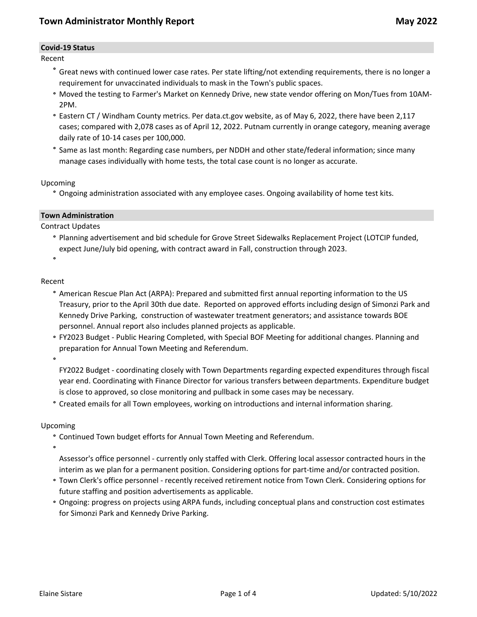### **Covid-19 Status**

Recent

- **°** Great news with continued lower case rates. Per state lifting/not extending requirements, there is no longer a requirement for unvaccinated individuals to mask in the Town's public spaces.
- **°** Moved the testing to Farmer's Market on Kennedy Drive, new state vendor offering on Mon/Tues from 10AM-2PM.
- **°** Eastern CT / Windham County metrics. Per data.ct.gov website, as of May 6, 2022, there have been 2,117 cases; compared with 2,078 cases as of April 12, 2022. Putnam currently in orange category, meaning average daily rate of 10-14 cases per 100,000.
- **°** Same as last month: Regarding case numbers, per NDDH and other state/federal information; since many manage cases individually with home tests, the total case count is no longer as accurate.

### Upcoming

**°** Ongoing administration associated with any employee cases. Ongoing availability of home test kits.

### **Town Administration**

Contract Updates

**°** Planning advertisement and bid schedule for Grove Street Sidewalks Replacement Project (LOTCIP funded, expect June/July bid opening, with contract award in Fall, construction through 2023.

**°**

### Recent

- **°** American Rescue Plan Act (ARPA): Prepared and submitted first annual reporting information to the US Treasury, prior to the April 30th due date. Reported on approved efforts including design of Simonzi Park and Kennedy Drive Parking, construction of wastewater treatment generators; and assistance towards BOE personnel. Annual report also includes planned projects as applicable.
- **°** FY2023 Budget Public Hearing Completed, with Special BOF Meeting for additional changes. Planning and preparation for Annual Town Meeting and Referendum.

**°**

FY2022 Budget - coordinating closely with Town Departments regarding expected expenditures through fiscal year end. Coordinating with Finance Director for various transfers between departments. Expenditure budget is close to approved, so close monitoring and pullback in some cases may be necessary.

**°** Created emails for all Town employees, working on introductions and internal information sharing.

## Upcoming

**°** Continued Town budget efforts for Annual Town Meeting and Referendum.

**°**

- Assessor's office personnel currently only staffed with Clerk. Offering local assessor contracted hours in the interim as we plan for a permanent position. Considering options for part-time and/or contracted position.
- **°** Town Clerk's office personnel recently received retirement notice from Town Clerk. Considering options for future staffing and position advertisements as applicable.
- **°** Ongoing: progress on projects using ARPA funds, including conceptual plans and construction cost estimates for Simonzi Park and Kennedy Drive Parking.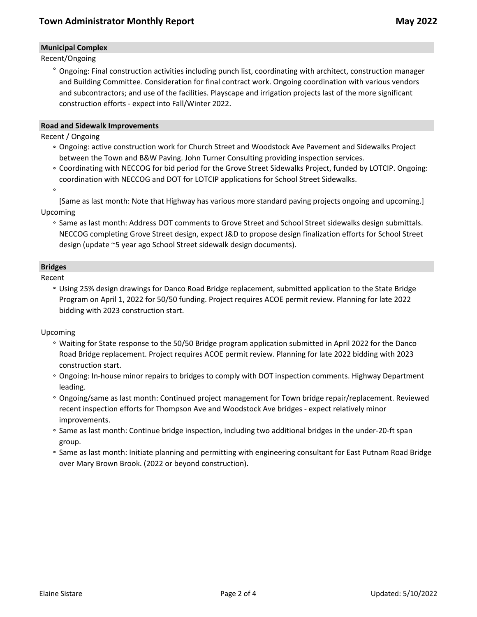# **Municipal Complex**

Recent/Ongoing

**°** Ongoing: Final construction activities including punch list, coordinating with architect, construction manager and Building Committee. Consideration for final contract work. Ongoing coordination with various vendors and subcontractors; and use of the facilities. Playscape and irrigation projects last of the more significant construction efforts - expect into Fall/Winter 2022.

### **Road and Sidewalk Improvements**

Recent / Ongoing

- **°** Ongoing: active construction work for Church Street and Woodstock Ave Pavement and Sidewalks Project between the Town and B&W Paving. John Turner Consulting providing inspection services.
- **°** Coordinating with NECCOG for bid period for the Grove Street Sidewalks Project, funded by LOTCIP. Ongoing: coordination with NECCOG and DOT for LOTCIP applications for School Street Sidewalks.
- **°**

[Same as last month: Note that Highway has various more standard paving projects ongoing and upcoming.] Upcoming

**°** Same as last month: Address DOT comments to Grove Street and School Street sidewalks design submittals. NECCOG completing Grove Street design, expect J&D to propose design finalization efforts for School Street design (update ~5 year ago School Street sidewalk design documents).

# **Bridges**

Recent

**°** Using 25% design drawings for Danco Road Bridge replacement, submitted application to the State Bridge Program on April 1, 2022 for 50/50 funding. Project requires ACOE permit review. Planning for late 2022 bidding with 2023 construction start.

Upcoming

- **°** Waiting for State response to the 50/50 Bridge program application submitted in April 2022 for the Danco Road Bridge replacement. Project requires ACOE permit review. Planning for late 2022 bidding with 2023 construction start.
- **°** Ongoing: In-house minor repairs to bridges to comply with DOT inspection comments. Highway Department leading.
- **°** Ongoing/same as last month: Continued project management for Town bridge repair/replacement. Reviewed recent inspection efforts for Thompson Ave and Woodstock Ave bridges - expect relatively minor improvements.
- **°** Same as last month: Continue bridge inspection, including two additional bridges in the under-20-ft span group.
- **°** Same as last month: Initiate planning and permitting with engineering consultant for East Putnam Road Bridge over Mary Brown Brook. (2022 or beyond construction).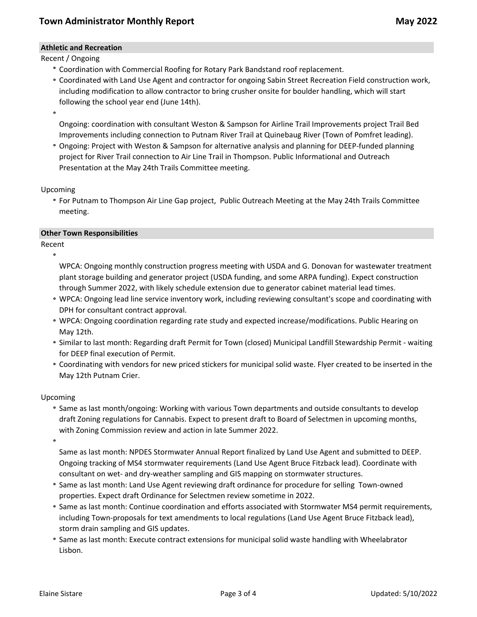# **Athletic and Recreation**

Recent / Ongoing

- **°** Coordination with Commercial Roofing for Rotary Park Bandstand roof replacement.
- **°** Coordinated with Land Use Agent and contractor for ongoing Sabin Street Recreation Field construction work, including modification to allow contractor to bring crusher onsite for boulder handling, which will start following the school year end (June 14th).

**°**

Ongoing: coordination with consultant Weston & Sampson for Airline Trail Improvements project Trail Bed Improvements including connection to Putnam River Trail at Quinebaug River (Town of Pomfret leading).

**°** Ongoing: Project with Weston & Sampson for alternative analysis and planning for DEEP-funded planning project for River Trail connection to Air Line Trail in Thompson. Public Informational and Outreach Presentation at the May 24th Trails Committee meeting.

Upcoming

**°** For Putnam to Thompson Air Line Gap project, Public Outreach Meeting at the May 24th Trails Committee meeting.

## **Other Town Responsibilities**

Recent **°**

WPCA: Ongoing monthly construction progress meeting with USDA and G. Donovan for wastewater treatment plant storage building and generator project (USDA funding, and some ARPA funding). Expect construction through Summer 2022, with likely schedule extension due to generator cabinet material lead times.

- **°** WPCA: Ongoing lead line service inventory work, including reviewing consultant's scope and coordinating with DPH for consultant contract approval.
- **°** WPCA: Ongoing coordination regarding rate study and expected increase/modifications. Public Hearing on May 12th.
- **°** Similar to last month: Regarding draft Permit for Town (closed) Municipal Landfill Stewardship Permit waiting for DEEP final execution of Permit.
- **°** Coordinating with vendors for new priced stickers for municipal solid waste. Flyer created to be inserted in the May 12th Putnam Crier.

### Upcoming

**°** Same as last month/ongoing: Working with various Town departments and outside consultants to develop draft Zoning regulations for Cannabis. Expect to present draft to Board of Selectmen in upcoming months, with Zoning Commission review and action in late Summer 2022.

**°**

Same as last month: NPDES Stormwater Annual Report finalized by Land Use Agent and submitted to DEEP. Ongoing tracking of MS4 stormwater requirements (Land Use Agent Bruce Fitzback lead). Coordinate with consultant on wet- and dry-weather sampling and GIS mapping on stormwater structures.

- **°** Same as last month: Land Use Agent reviewing draft ordinance for procedure for selling Town-owned properties. Expect draft Ordinance for Selectmen review sometime in 2022.
- **°** Same as last month: Continue coordination and efforts associated with Stormwater MS4 permit requirements, including Town-proposals for text amendments to local regulations (Land Use Agent Bruce Fitzback lead), storm drain sampling and GIS updates.
- **°** Same as last month: Execute contract extensions for municipal solid waste handling with Wheelabrator Lisbon.